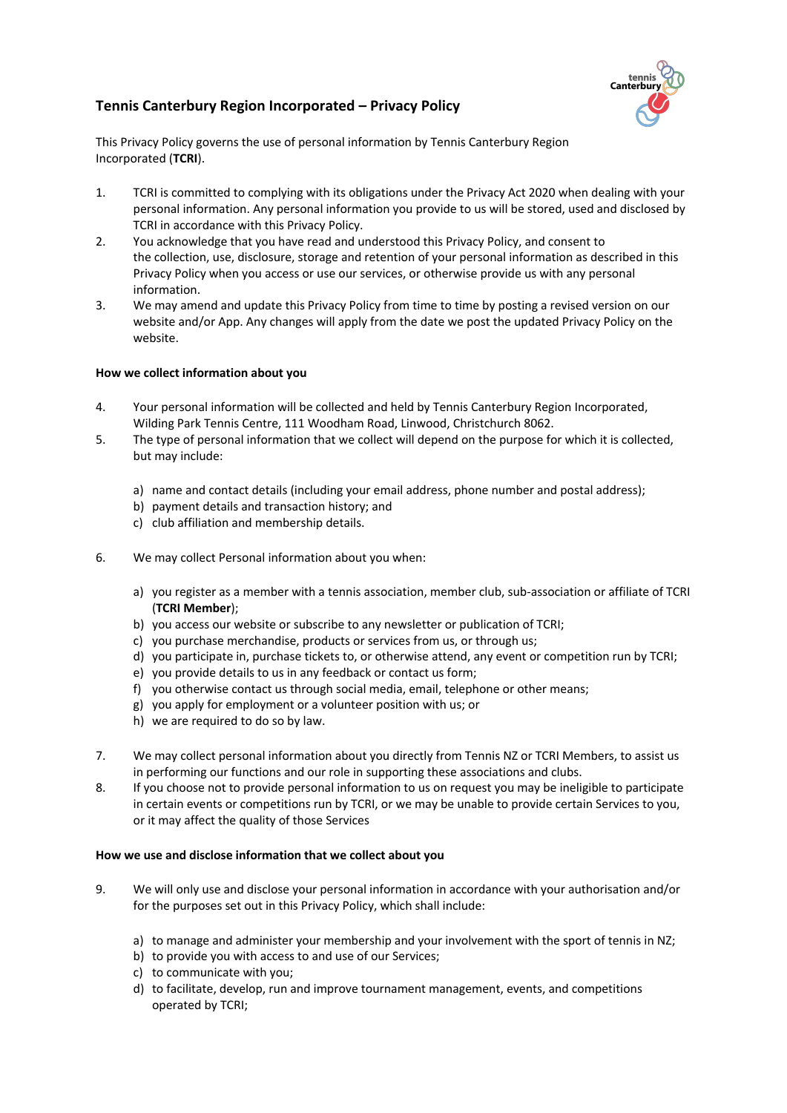

# **Tennis Canterbury Region Incorporated – Privacy Policy**

This Privacy Policy governs the use of personal information by Tennis Canterbury Region Incorporated (**TCRI**).

- 1. TCRI is committed to complying with its obligations under the Privacy Act 2020 when dealing with your personal information. Any personal information you provide to us will be stored, used and disclosed by TCRI in accordance with this Privacy Policy.
- 2. You acknowledge that you have read and understood this Privacy Policy, and consent to the collection, use, disclosure, storage and retention of your personal information as described in this Privacy Policy when you access or use our services, or otherwise provide us with any personal information.
- 3. We may amend and update this Privacy Policy from time to time by posting a revised version on our website and/or App. Any changes will apply from the date we post the updated Privacy Policy on the website.

### **How we collect information about you**

- 4. Your personal information will be collected and held by Tennis Canterbury Region Incorporated, Wilding Park Tennis Centre, 111 Woodham Road, Linwood, Christchurch 8062.
- 5. The type of personal information that we collect will depend on the purpose for which it is collected, but may include:
	- a) name and contact details (including your email address, phone number and postal address);
	- b) payment details and transaction history; and
	- c) club affiliation and membership details.
- 6. We may collect Personal information about you when:
	- a) you register as a member with a tennis association, member club, sub-association or affiliate of TCRI (**TCRI Member**);
	- b) you access our website or subscribe to any newsletter or publication of TCRI;
	- c) you purchase merchandise, products or services from us, or through us;
	- d) you participate in, purchase tickets to, or otherwise attend, any event or competition run by TCRI;
	- e) you provide details to us in any feedback or contact us form;
	- f) you otherwise contact us through social media, email, telephone or other means;
	- g) you apply for employment or a volunteer position with us; or
	- h) we are required to do so by law.
- 7. We may collect personal information about you directly from Tennis NZ or TCRI Members, to assist us in performing our functions and our role in supporting these associations and clubs.
- 8. If you choose not to provide personal information to us on request you may be ineligible to participate in certain events or competitions run by TCRI, or we may be unable to provide certain Services to you, or it may affect the quality of those Services

#### **How we use and disclose information that we collect about you**

- 9. We will only use and disclose your personal information in accordance with your authorisation and/or for the purposes set out in this Privacy Policy, which shall include:
	- a) to manage and administer your membership and your involvement with the sport of tennis in NZ;
	- b) to provide you with access to and use of our Services;
	- c) to communicate with you;
	- d) to facilitate, develop, run and improve tournament management, events, and competitions operated by TCRI;